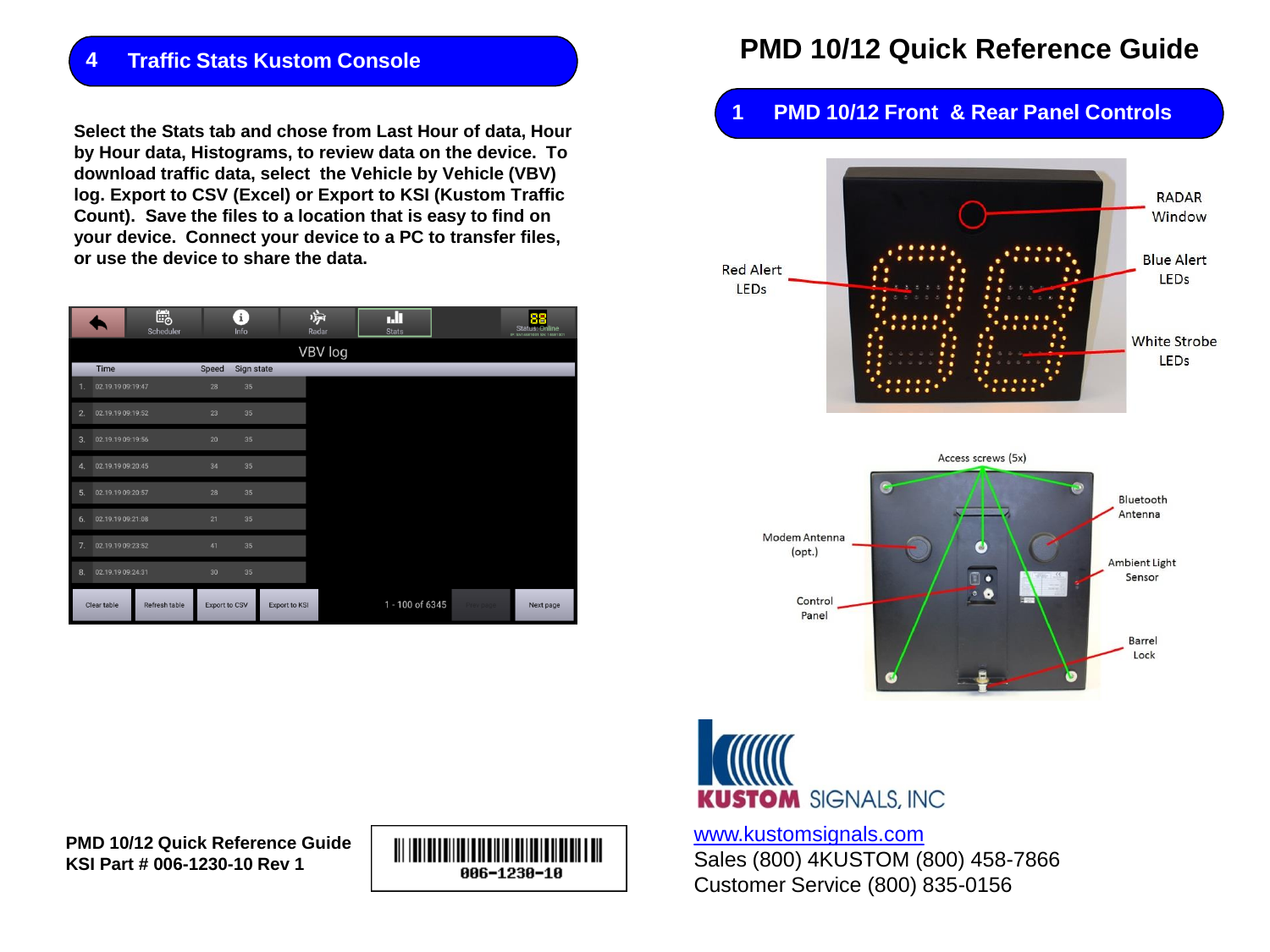### **4 Traffic Stats Kustom Console**

**Select the Stats tab and chose from Last Hour of data, Hour by Hour data, Histograms, to review data on the device. To download traffic data, select the Vehicle by Vehicle (VBV) log. Export to CSV (Excel) or Export to KSI (Kustom Traffic Count). Save the files to a location that is easy to find on your device. Connect your device to a PC to transfer files, or use the device to share the data.**

|                                       | 皑<br>Scheduler |                 | $\mathbf{i}$<br>Info | 濟<br>Radar           | ъh<br><b>Stats</b> |           | 88<br><b>Status: Online</b><br>IP: SN14681001 SN: 14681001 |
|---------------------------------------|----------------|-----------------|----------------------|----------------------|--------------------|-----------|------------------------------------------------------------|
|                                       |                |                 |                      | VBV log              |                    |           |                                                            |
| Time                                  |                | Speed           | Sign state           |                      |                    |           |                                                            |
| 02.19.19 09:19:47<br>1.               |                | 28              | 35                   |                      |                    |           |                                                            |
| 02.19.19 09:19:52<br>2.               |                | 23              | 35                   |                      |                    |           |                                                            |
| 02.19.19 09:19:56<br>3.               |                | 20              | 35                   |                      |                    |           |                                                            |
| 02.19.19 09:20:45<br>$\boldsymbol{A}$ |                | 34              | 35                   |                      |                    |           |                                                            |
| 02.19.19 09:20:57<br>5.               |                | 28              | 35                   |                      |                    |           |                                                            |
| 02.19.19 09:21:08<br>6.               |                | 21              | 35                   |                      |                    |           |                                                            |
| 7 <sup>1</sup><br>02.19.19 09:23:52   |                | 41              | 35                   |                      |                    |           |                                                            |
| 02.19.19 09:24:31<br>8.               |                | 30 <sup>°</sup> | 35                   |                      |                    |           |                                                            |
| Clear table                           | Refresh table  | Export to CSV   |                      | <b>Export to KSI</b> | 1 - 100 of 6345    | Prev page | Next page                                                  |

# **PMD 10/12 Quick Reference Guide**

## **1 PMD 10/12 Front & Rear Panel Controls**







[www.kustomsignals.com](http://www.kustomsignals.com/)

Sales (800) 4KUSTOM (800) 458-7866 Customer Service (800) 835-0156

**PMD 10/12 Quick Reference Guide KSI Part # 006-1230-10 Rev 1**